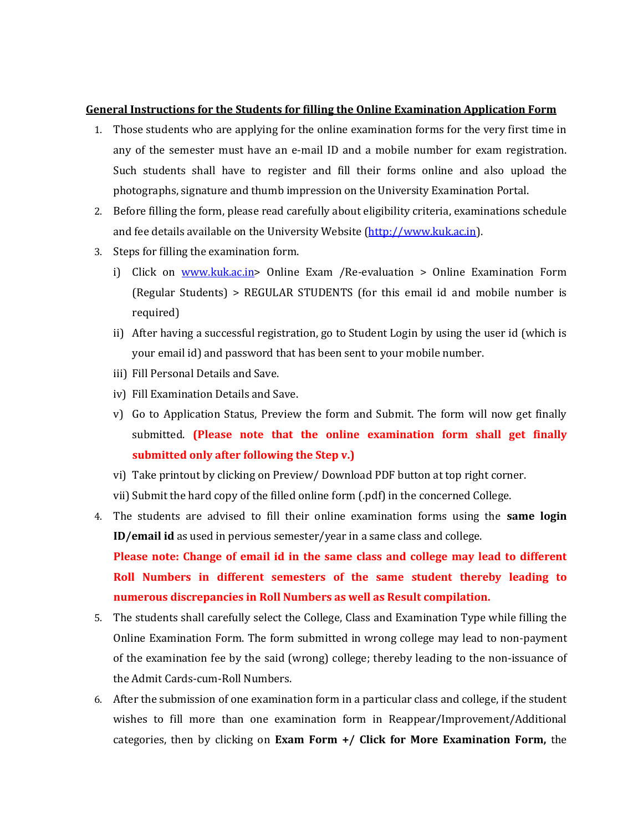## **General Instructions for the Students for filling the Online Examination Application Form**

- 1. Those students who are applying for the online examination forms for the very first time in any of the semester must have an e-mail ID and a mobile number for exam registration. Such students shall have to register and fill their forms online and also upload the photographs, signature and thumb impression on the University Examination Portal.
- 2. Before filling the form, please read carefully about eligibility criteria, examinations schedule and fee details available on the University Website [\(http://www.kuk.ac.in\)](http://www.kuk.ac.in/).
- 3. Steps for filling the examination form.
	- i) Click on [www.kuk.ac.in>](http://www.kuk.ac.in/) Online Exam /Re-evaluation > Online Examination Form (Regular Students) > REGULAR STUDENTS (for this email id and mobile number is required)
	- ii) After having a successful registration, go to Student Login by using the user id (which is your email id) and password that has been sent to your mobile number.
	- iii) Fill Personal Details and Save.
	- iv) Fill Examination Details and Save.
	- v) Go to Application Status, Preview the form and Submit. The form will now get finally submitted. **(Please note that the online examination form shall get finally submitted only after following the Step v.)**
	- vi) Take printout by clicking on Preview/ Download PDF button at top right corner.
	- vii) Submit the hard copy of the filled online form (.pdf) in the concerned College.
- 4. The students are advised to fill their online examination forms using the **same login ID/email id** as used in pervious semester/year in a same class and college. **Please note: Change of email id in the same class and college may lead to different Roll Numbers in different semesters of the same student thereby leading to numerous discrepancies in Roll Numbers as well as Result compilation.**
- 5. The students shall carefully select the College, Class and Examination Type while filling the Online Examination Form. The form submitted in wrong college may lead to non-payment of the examination fee by the said (wrong) college; thereby leading to the non-issuance of the Admit Cards-cum-Roll Numbers.
- 6. After the submission of one examination form in a particular class and college, if the student wishes to fill more than one examination form in Reappear/Improvement/Additional categories, then by clicking on **Exam Form +/ Click for More Examination Form,** the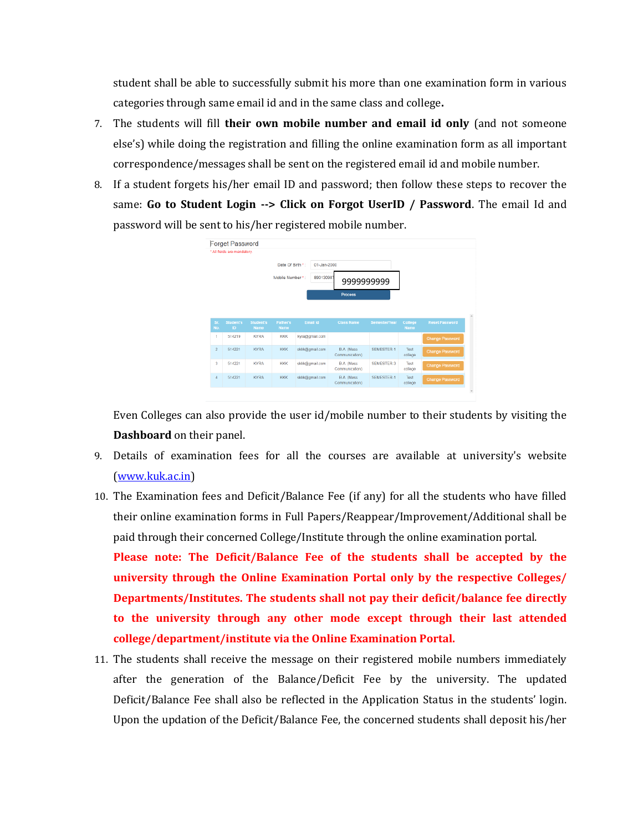student shall be able to successfully submit his more than one examination form in various categories through same email id and in the same class and college**.**

- 7. The students will fill **their own mobile number and email id only** (and not someone else's) while doing the registration and filling the online examination form as all important correspondence/messages shall be sent on the registered email id and mobile number.
- 8. If a student forgets his/her email ID and password; then follow these steps to recover the same: **Go to Student Login --> Click on Forgot UserID / Password**. The email Id and password will be sent to his/her registered mobile number.



Even Colleges can also provide the user id/mobile number to their students by visiting the **Dashboard** on their panel.

- 9. Details of examination fees for all the courses are available at university's website [\(www.kuk.ac.in\)](http://www.kuk.ac.in/)
- 10. The Examination fees and Deficit/Balance Fee (if any) for all the students who have filled their online examination forms in Full Papers/Reappear/Improvement/Additional shall be paid through their concerned College/Institute through the online examination portal.

**Please note: The Deficit/Balance Fee of the students shall be accepted by the university through the Online Examination Portal only by the respective Colleges/ Departments/Institutes. The students shall not pay their deficit/balance fee directly to the university through any other mode except through their last attended college/department/institute via the Online Examination Portal.** 

11. The students shall receive the message on their registered mobile numbers immediately after the generation of the Balance/Deficit Fee by the university. The updated Deficit/Balance Fee shall also be reflected in the Application Status in the students' login. Upon the updation of the Deficit/Balance Fee, the concerned students shall deposit his/her